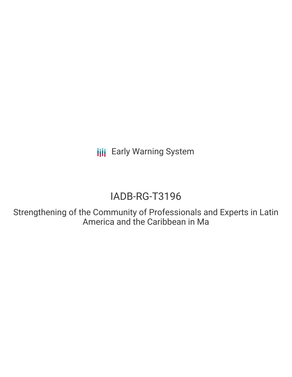**III** Early Warning System

# IADB-RG-T3196

Strengthening of the Community of Professionals and Experts in Latin America and the Caribbean in Ma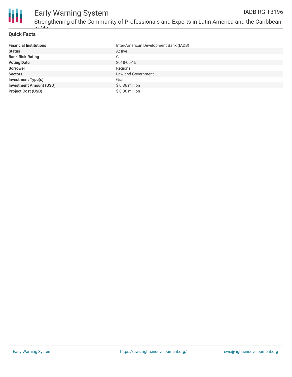

## **Quick Facts**

| <b>Financial Institutions</b>  | Inter-American Development Bank (IADB) |
|--------------------------------|----------------------------------------|
| <b>Status</b>                  | Active                                 |
| <b>Bank Risk Rating</b>        | C                                      |
| <b>Voting Date</b>             | 2018-05-15                             |
| <b>Borrower</b>                | Regional                               |
| <b>Sectors</b>                 | Law and Government                     |
| <b>Investment Type(s)</b>      | Grant                                  |
| <b>Investment Amount (USD)</b> | \$0.36 million                         |
| <b>Project Cost (USD)</b>      | $$0.36$ million                        |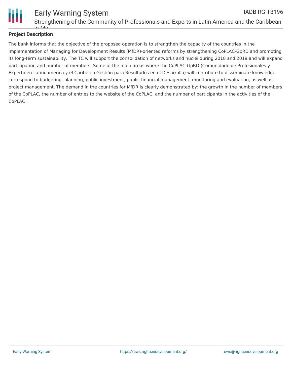

## **Project Description**

The bank informs that the objective of the proposed operation is to strengthen the capacity of the countries in the implementation of Managing for Development Results (MfDR)-oriented reforms by strengthening CoPLAC-GpRD and promoting its long-term sustainability. The TC will support the consolidation of networks and nuclei during 2018 and 2019 and will expand participation and number of members. Some of the main areas where the CoPLAC-GpRD (Comunidade de Profesionales y Experto en Latinoamerica y el Caribe en Gestión para Resultados en el Desarrollo) will contribute to disseminate knowledge correspond to budgeting, planning, public investment, public financial management, monitoring and evaluation, as well as project management. The demand in the countries for MfDR is clearly demonstrated by: the growth in the number of members of the CoPLAC, the number of entries to the website of the CoPLAC, and the number of participants in the activities of the CoPLAC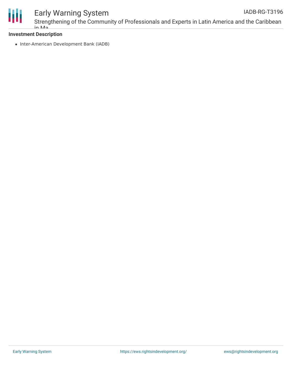

#### Early Warning System Strengthening of the Community of Professionals and Experts in Latin America and the Caribbean in Ma IADB-RG-T3196

## **Investment Description**

• Inter-American Development Bank (IADB)